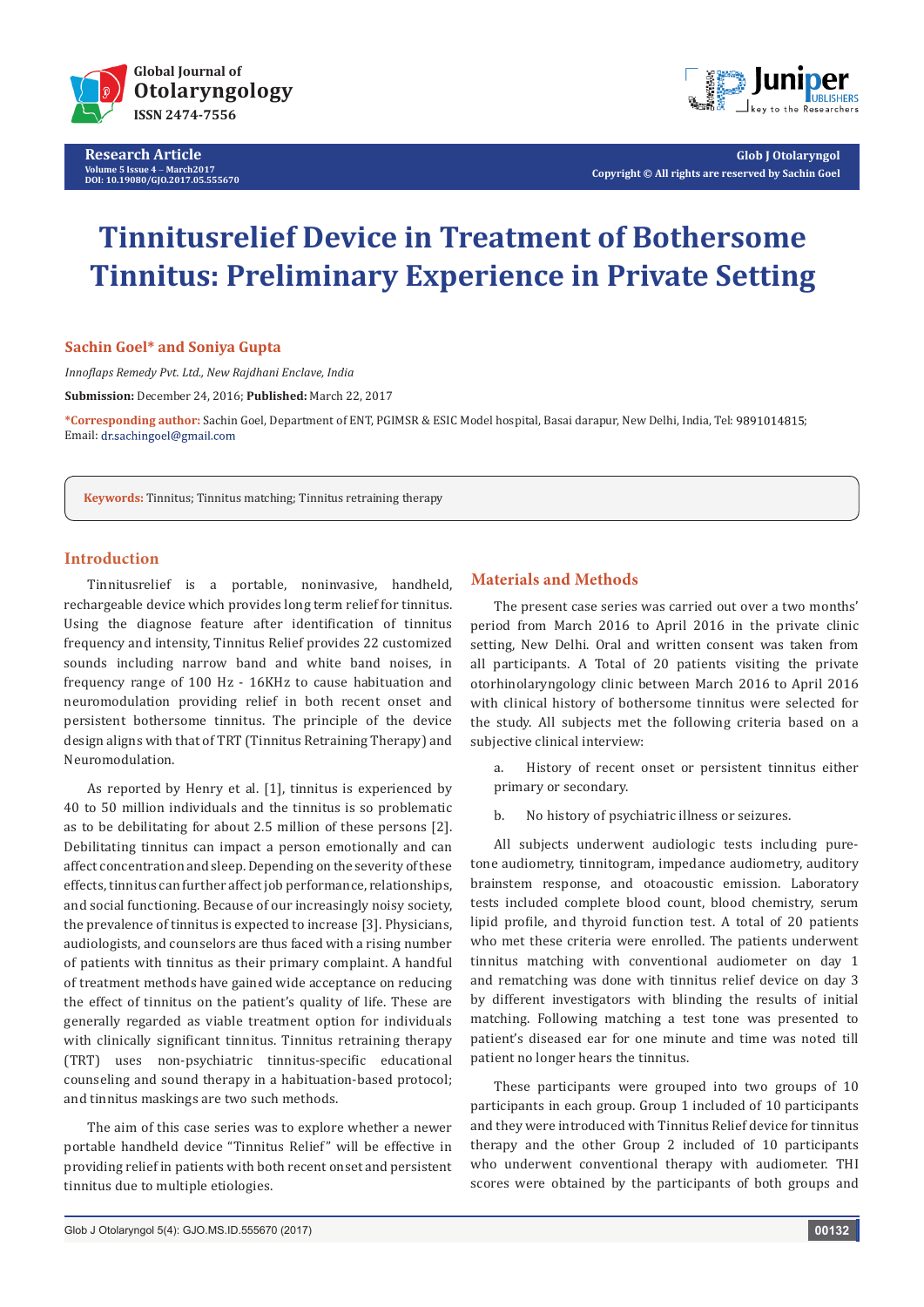

**Research Article Volume 5 Issue 4** - **March2017 DOI: [10.19080/GJO.2017.05.555670](http://dx.doi.org/10.19080/GJO.2017.05.555670)**



**Glob J Otolaryngol Copyright © All rights are reserved by Sachin Goel**

# **Tinnitusrelief Device in Treatment of Bothersome Tinnitus: Preliminary Experience in Private Setting**

## **Sachin Goel\* and Soniya Gupta**

*Innoflaps Remedy Pvt. Ltd., New Rajdhani Enclave, India*

**Submission:** December 24, 2016; **Published:** March 22, 2017

**\*Corresponding author:** Sachin Goel, Department of ENT, PGIMSR & ESIC Model hospital, Basai darapur, New Delhi, India, Tel: ; Email: dr.sachingoel@gmail.com

**Keywords:** Tinnitus; Tinnitus matching; Tinnitus retraining therapy

## **Introduction**

Tinnitusrelief is a portable, noninvasive, handheld, rechargeable device which provides long term relief for tinnitus. Using the diagnose feature after identification of tinnitus frequency and intensity, Tinnitus Relief provides 22 customized sounds including narrow band and white band noises, in frequency range of 100 Hz - 16KHz to cause habituation and neuromodulation providing relief in both recent onset and persistent bothersome tinnitus. The principle of the device design aligns with that of TRT (Tinnitus Retraining Therapy) and Neuromodulation.

As reported by Henry et al. [1], tinnitus is experienced by 40 to 50 million individuals and the tinnitus is so problematic as to be debilitating for about 2.5 million of these persons [2]. Debilitating tinnitus can impact a person emotionally and can affect concentration and sleep. Depending on the severity of these effects, tinnitus can further affect job performance, relationships, and social functioning. Because of our increasingly noisy society, the prevalence of tinnitus is expected to increase [3]. Physicians, audiologists, and counselors are thus faced with a rising number of patients with tinnitus as their primary complaint. A handful of treatment methods have gained wide acceptance on reducing the effect of tinnitus on the patient's quality of life. These are generally regarded as viable treatment option for individuals with clinically significant tinnitus. Tinnitus retraining therapy (TRT) uses non-psychiatric tinnitus-specific educational counseling and sound therapy in a habituation-based protocol; and tinnitus maskings are two such methods.

The aim of this case series was to explore whether a newer portable handheld device "Tinnitus Relief" will be effective in providing relief in patients with both recent onset and persistent tinnitus due to multiple etiologies.

#### **Materials and Methods**

The present case series was carried out over a two months' period from March 2016 to April 2016 in the private clinic setting, New Delhi. Oral and written consent was taken from all participants. A Total of 20 patients visiting the private otorhinolaryngology clinic between March 2016 to April 2016 with clinical history of bothersome tinnitus were selected for the study. All subjects met the following criteria based on a subjective clinical interview:

a. History of recent onset or persistent tinnitus either primary or secondary.

b. No history of psychiatric illness or seizures.

All subjects underwent audiologic tests including puretone audiometry, tinnitogram, impedance audiometry, auditory brainstem response, and otoacoustic emission. Laboratory tests included complete blood count, blood chemistry, serum lipid profile, and thyroid function test. A total of 20 patients who met these criteria were enrolled. The patients underwent tinnitus matching with conventional audiometer on day 1 and rematching was done with tinnitus relief device on day 3 by different investigators with blinding the results of initial matching. Following matching a test tone was presented to patient's diseased ear for one minute and time was noted till patient no longer hears the tinnitus.

These participants were grouped into two groups of 10 participants in each group. Group 1 included of 10 participants and they were introduced with Tinnitus Relief device for tinnitus therapy and the other Group 2 included of 10 participants who underwent conventional therapy with audiometer. THI scores were obtained by the participants of both groups and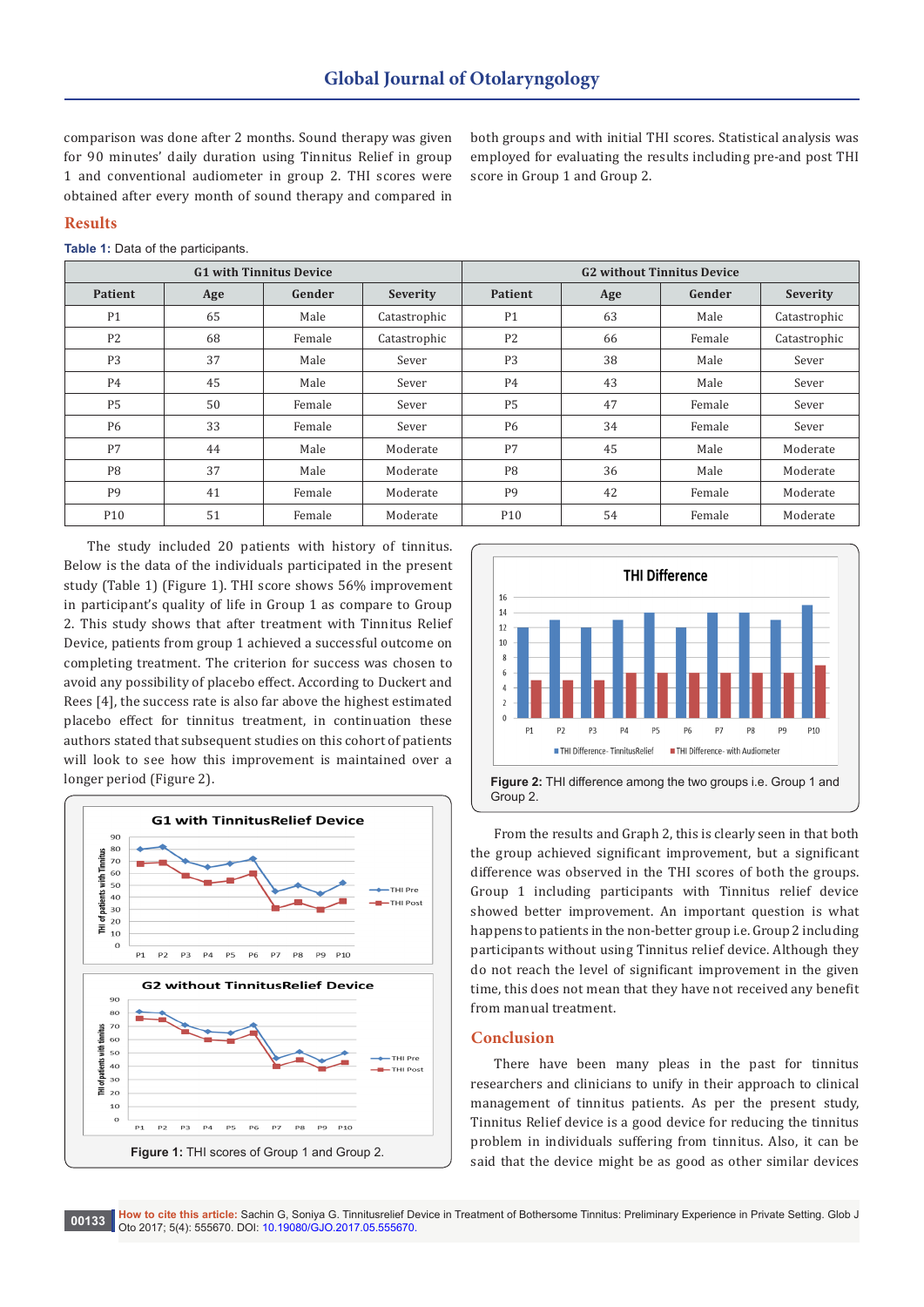comparison was done after 2 months. Sound therapy was given for 90 minutes' daily duration using Tinnitus Relief in group 1 and conventional audiometer in group 2. THI scores were obtained after every month of sound therapy and compared in

both groups and with initial THI scores. Statistical analysis was employed for evaluating the results including pre-and post THI score in Group 1 and Group 2.

### **Results**

| Table 1: Data of the participants. |  |
|------------------------------------|--|
|------------------------------------|--|

| <b>G1 with Tinnitus Device</b> |     |        |              | <b>G2</b> without Tinnitus Device |     |        |              |
|--------------------------------|-----|--------|--------------|-----------------------------------|-----|--------|--------------|
| <b>Patient</b>                 | Age | Gender | Severity     | <b>Patient</b>                    | Age | Gender | Severity     |
| P <sub>1</sub>                 | 65  | Male   | Catastrophic | P <sub>1</sub>                    | 63  | Male   | Catastrophic |
| P <sub>2</sub>                 | 68  | Female | Catastrophic | P <sub>2</sub>                    | 66  | Female | Catastrophic |
| P <sub>3</sub>                 | 37  | Male   | Sever        | P <sub>3</sub>                    | 38  | Male   | Sever        |
| <b>P4</b>                      | 45  | Male   | Sever        | P <sub>4</sub>                    | 43  | Male   | Sever        |
| P <sub>5</sub>                 | 50  | Female | Sever        | P <sub>5</sub>                    | 47  | Female | Sever        |
| P <sub>6</sub>                 | 33  | Female | Sever        | <b>P6</b>                         | 34  | Female | Sever        |
| P7                             | 44  | Male   | Moderate     | P7                                | 45  | Male   | Moderate     |
| P <sub>8</sub>                 | 37  | Male   | Moderate     | P <sub>8</sub>                    | 36  | Male   | Moderate     |
| P <sub>9</sub>                 | 41  | Female | Moderate     | P <sub>9</sub>                    | 42  | Female | Moderate     |
| P <sub>10</sub>                | 51  | Female | Moderate     | P10                               | 54  | Female | Moderate     |

The study included 20 patients with history of tinnitus. Below is the data of the individuals participated in the present study (Table 1) (Figure 1). THI score shows 56% improvement in participant's quality of life in Group 1 as compare to Group 2. This study shows that after treatment with Tinnitus Relief Device, patients from group 1 achieved a successful outcome on completing treatment. The criterion for success was chosen to avoid any possibility of placebo effect. According to Duckert and Rees [4], the success rate is also far above the highest estimated placebo effect for tinnitus treatment, in continuation these authors stated that subsequent studies on this cohort of patients will look to see how this improvement is maintained over a longer period (Figure 2).





From the results and Graph 2, this is clearly seen in that both the group achieved significant improvement, but a significant difference was observed in the THI scores of both the groups. Group 1 including participants with Tinnitus relief device showed better improvement. An important question is what happens to patients in the non-better group i.e. Group 2 including participants without using Tinnitus relief device. Although they do not reach the level of significant improvement in the given time, this does not mean that they have not received any benefit from manual treatment.

#### **Conclusion**

There have been many pleas in the past for tinnitus researchers and clinicians to unify in their approach to clinical management of tinnitus patients. As per the present study, Tinnitus Relief device is a good device for reducing the tinnitus problem in individuals suffering from tinnitus. Also, it can be said that the device might be as good as other similar devices